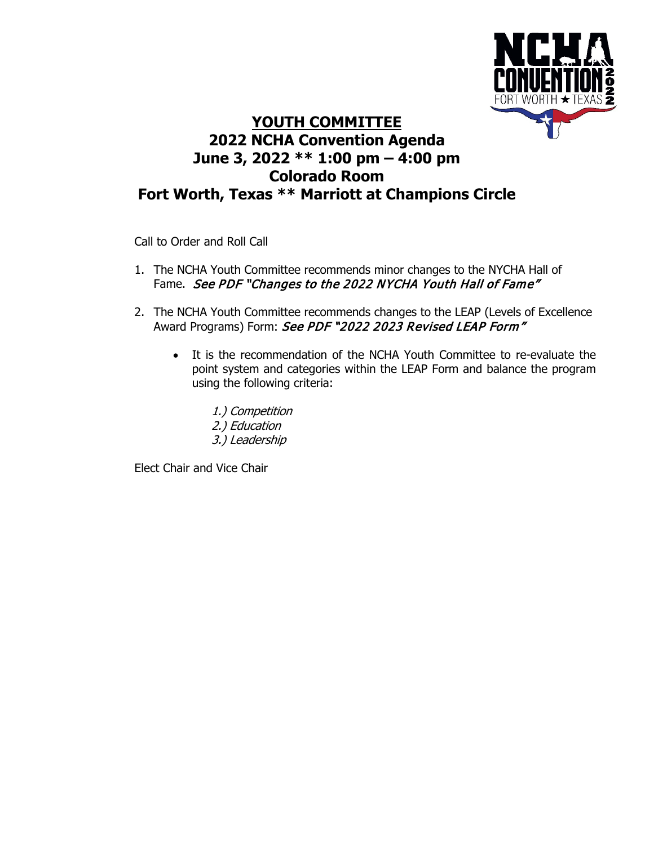

## **YOUTH COMMITTEE 2022 NCHA Convention Agenda June 3, 2022 \*\* 1:00 pm – 4:00 pm Colorado Room Fort Worth, Texas \*\* Marriott at Champions Circle**

Call to Order and Roll Call

- 1. The NCHA Youth Committee recommends minor changes to the NYCHA Hall of Fame. See PDF "Changes to the 2022 NYCHA Youth Hall of Fame"
- 2. The NCHA Youth Committee recommends changes to the LEAP (Levels of Excellence Award Programs) Form: See PDF "2022 2023 Revised LEAP Form"
	- It is the recommendation of the NCHA Youth Committee to re-evaluate the point system and categories within the LEAP Form and balance the program using the following criteria:
		- 1.) Competition 2.) Education 3.) Leadership

Elect Chair and Vice Chair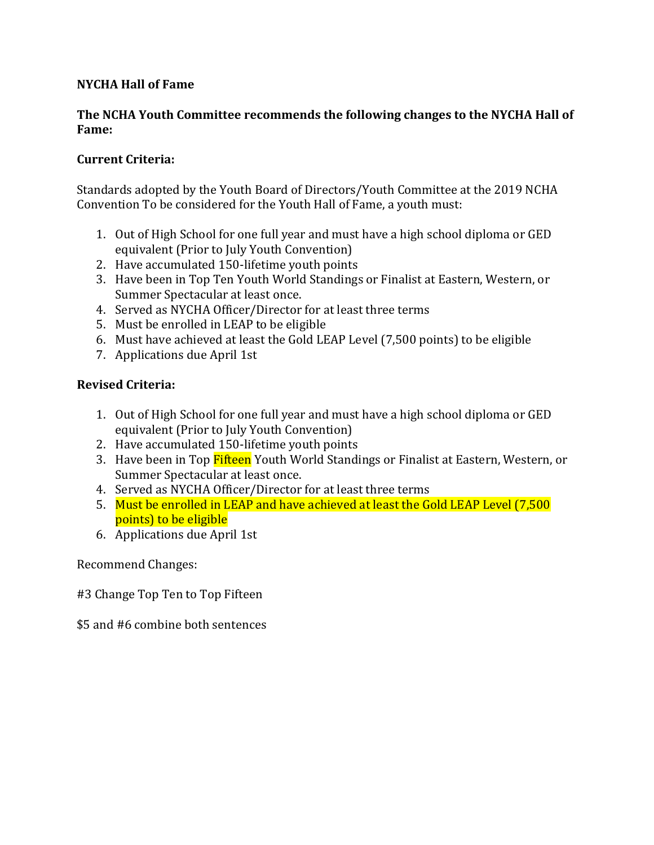### **NYCHA Hall of Fame**

#### **The NCHA Youth Committee recommends the following changes to the NYCHA Hall of Fame:**

#### **Current Criteria:**

Standards adopted by the Youth Board of Directors/Youth Committee at the 2019 NCHA Convention To be considered for the Youth Hall of Fame, a youth must:

- 1. Out of High School for one full year and must have a high school diploma or GED equivalent (Prior to July Youth Convention)
- 2. Have accumulated 150-lifetime youth points
- 3. Have been in Top Ten Youth World Standings or Finalist at Eastern, Western, or Summer Spectacular at least once.
- 4. Served as NYCHA Officer/Director for at least three terms
- 5. Must be enrolled in LEAP to be eligible
- 6. Must have achieved at least the Gold LEAP Level (7,500 points) to be eligible
- 7. Applications due April 1st

### **Revised Criteria:**

- 1. Out of High School for one full year and must have a high school diploma or GED equivalent (Prior to July Youth Convention)
- 2. Have accumulated 150-lifetime youth points
- 3. Have been in Top Fifteen Youth World Standings or Finalist at Eastern, Western, or Summer Spectacular at least once.
- 4. Served as NYCHA Officer/Director for at least three terms
- 5. Must be enrolled in LEAP and have achieved at least the Gold LEAP Level (7,500 points) to be eligible
- 6. Applications due April 1st

Recommend Changes:

#3 Change Top Ten to Top Fifteen

\$5 and #6 combine both sentences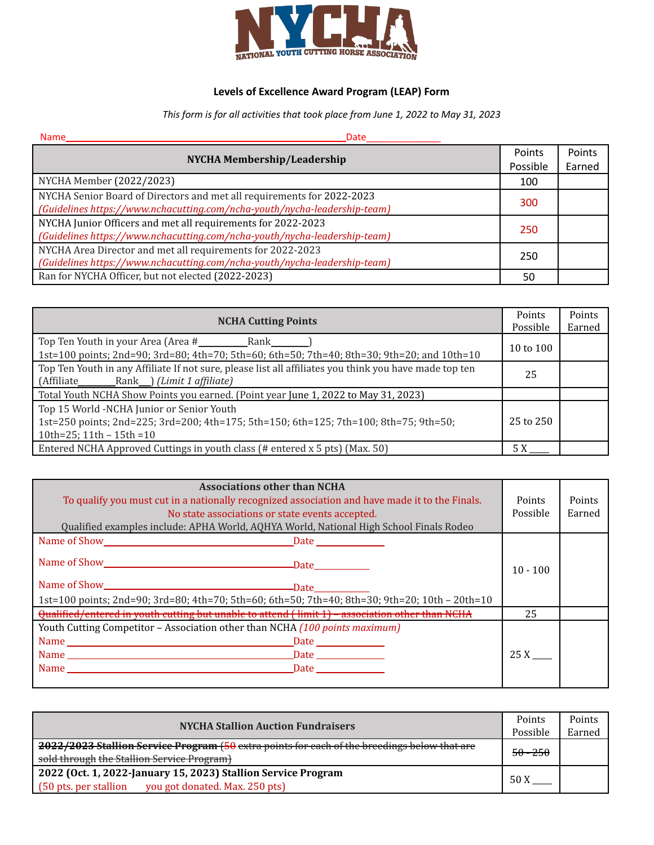

# **Levels of Excellence Award Program (LEAP) Form**

*This form is for all activities that took place from June 1, 2022 to May 31, 2023*

| <b>Name</b><br><b>Date</b>                                                |        |        |
|---------------------------------------------------------------------------|--------|--------|
|                                                                           | Points | Points |
| NYCHA Membership/Leadership                                               |        | Earned |
| NYCHA Member (2022/2023)                                                  | 100    |        |
| NYCHA Senior Board of Directors and met all requirements for 2022-2023    | 300    |        |
| (Guidelines https://www.nchacutting.com/ncha-youth/nycha-leadership-team) |        |        |
| NYCHA Junior Officers and met all requirements for 2022-2023              |        |        |
| (Guidelines https://www.nchacutting.com/ncha-youth/nycha-leadership-team) |        |        |
| NYCHA Area Director and met all requirements for 2022-2023<br>250         |        |        |
| (Guidelines https://www.nchacutting.com/ncha-youth/nycha-leadership-team) |        |        |
| Ran for NYCHA Officer, but not elected (2022-2023)                        | 50     |        |

| <b>NCHA Cutting Points</b>                                                                                                                                        |          | Points |
|-------------------------------------------------------------------------------------------------------------------------------------------------------------------|----------|--------|
|                                                                                                                                                                   | Possible | Earned |
| 1st=100 points; 2nd=90; 3rd=80; 4th=70; 5th=60; 6th=50; 7th=40; 8th=30; 9th=20; and 10th=10                                                                       |          |        |
| Top Ten Youth in any Affiliate If not sure, please list all affiliates you think you have made top ten<br>(Affiliate_______________Rank____) (Limit 1 affiliate)  |          |        |
| Total Youth NCHA Show Points you earned. (Point year June 1, 2022 to May 31, 2023)                                                                                |          |        |
| Top 15 World -NCHA Junior or Senior Youth<br>1st=250 points; 2nd=225; 3rd=200; 4th=175; 5th=150; 6th=125; 7th=100; 8th=75; 9th=50;<br>10th=25; $11th - 15th = 10$ |          |        |
| Entered NCHA Approved Cuttings in youth class (# entered x 5 pts) (Max. 50)                                                                                       | 5 X      |        |

| <b>Associations other than NCHA</b><br>To qualify you must cut in a nationally recognized association and have made it to the Finals.<br>No state associations or state events accepted.<br>Qualified examples include: APHA World, AQHYA World, National High School Finals Rodeo |            | Points<br>Earned |
|------------------------------------------------------------------------------------------------------------------------------------------------------------------------------------------------------------------------------------------------------------------------------------|------------|------------------|
|                                                                                                                                                                                                                                                                                    |            |                  |
|                                                                                                                                                                                                                                                                                    | $10 - 100$ |                  |
|                                                                                                                                                                                                                                                                                    |            |                  |
| 1st=100 points; 2nd=90; 3rd=80; 4th=70; 5th=60; 6th=50; 7th=40; 8th=30; 9th=20; 10th - 20th=10                                                                                                                                                                                     |            |                  |
| Qualified/entered in youth cutting but unable to attend (limit 1) - association other than NCHA                                                                                                                                                                                    | 25         |                  |
| Youth Cutting Competitor - Association other than NCHA (100 points maximum)                                                                                                                                                                                                        |            |                  |
|                                                                                                                                                                                                                                                                                    |            |                  |
|                                                                                                                                                                                                                                                                                    | 25 X       |                  |
|                                                                                                                                                                                                                                                                                    |            |                  |
|                                                                                                                                                                                                                                                                                    |            |                  |

| <b>NYCHA Stallion Auction Fundraisers</b>                                                                                                  |  | Points<br>Earned |
|--------------------------------------------------------------------------------------------------------------------------------------------|--|------------------|
| 2022/2023 Stallion Service Program (50 extra points for each of the breedings below that are<br>sold through the Stallion Service Program) |  |                  |
| 2022 (Oct. 1, 2022-January 15, 2023) Stallion Service Program<br>you got donated. Max. 250 pts)<br>(50 pts. per stallion                   |  |                  |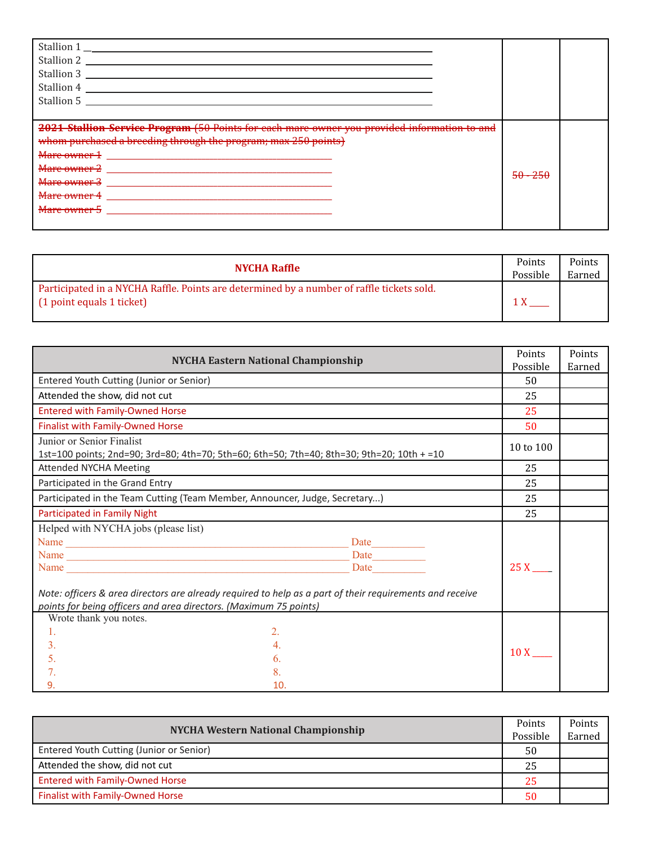| Stallion 1<br>Stallion 2<br>Stallion 3<br>Stallion 4<br>Stallion 5                           |                                         |  |
|----------------------------------------------------------------------------------------------|-----------------------------------------|--|
|                                                                                              |                                         |  |
| 2021 Stallion Service Program (50 Points for each mare owner you provided information to and |                                         |  |
| whom purchased a breeding through the program; max 250 points)                               |                                         |  |
|                                                                                              |                                         |  |
| Mare owner 2                                                                                 | $\mathbb{E} \Omega$ $\mathbb{E} \Omega$ |  |
| Mare owner 3                                                                                 | <del>50 - 250</del>                     |  |
| Mare owner 4                                                                                 |                                         |  |
| Mare owner 5                                                                                 |                                         |  |
|                                                                                              |                                         |  |

| <b>NYCHA Raffle</b>                                                                                                      | Points<br>Possible | Points<br>Earned |
|--------------------------------------------------------------------------------------------------------------------------|--------------------|------------------|
| Participated in a NYCHA Raffle. Points are determined by a number of raffle tickets sold.<br>$(1$ point equals 1 ticket) |                    |                  |

| <b>NYCHA Eastern National Championship</b>                                                                                                                                    |                     | Points |
|-------------------------------------------------------------------------------------------------------------------------------------------------------------------------------|---------------------|--------|
|                                                                                                                                                                               |                     | Earned |
| Entered Youth Cutting (Junior or Senior)                                                                                                                                      | 50                  |        |
| Attended the show, did not cut                                                                                                                                                | 25                  |        |
| <b>Entered with Family-Owned Horse</b>                                                                                                                                        | 25                  |        |
| <b>Finalist with Family-Owned Horse</b>                                                                                                                                       | 50                  |        |
| Junior or Senior Finalist<br>1st=100 points; 2nd=90; 3rd=80; 4th=70; 5th=60; 6th=50; 7th=40; 8th=30; 9th=20; 10th + =10                                                       | 10 to 100           |        |
| <b>Attended NYCHA Meeting</b>                                                                                                                                                 | 25                  |        |
| Participated in the Grand Entry                                                                                                                                               | 25                  |        |
| Participated in the Team Cutting (Team Member, Announcer, Judge, Secretary)                                                                                                   | 25                  |        |
| Participated in Family Night                                                                                                                                                  |                     |        |
| Helped with NYCHA jobs (please list)                                                                                                                                          |                     |        |
| Data                                                                                                                                                                          |                     |        |
|                                                                                                                                                                               |                     |        |
| <b>Date</b>                                                                                                                                                                   | 25X                 |        |
| Note: officers & area directors are already required to help as a part of their requirements and receive<br>points for being officers and area directors. (Maximum 75 points) |                     |        |
| Wrote thank you notes.                                                                                                                                                        |                     |        |
| 2.<br>$\mathbf{1}$ .                                                                                                                                                          |                     |        |
| 3.<br>$\overline{4}$ .                                                                                                                                                        |                     |        |
| 5.<br>6.                                                                                                                                                                      | $10X$ <sub>__</sub> |        |
| 8.                                                                                                                                                                            |                     |        |
| 10.<br>9.                                                                                                                                                                     |                     |        |

| <b>NYCHA Western National Championship</b> |          | Points |
|--------------------------------------------|----------|--------|
|                                            | Possible | Earned |
| Entered Youth Cutting (Junior or Senior)   |          |        |
| Attended the show, did not cut             | -25      |        |
| <b>Entered with Family-Owned Horse</b>     |          |        |
| <b>Finalist with Family-Owned Horse</b>    | 50       |        |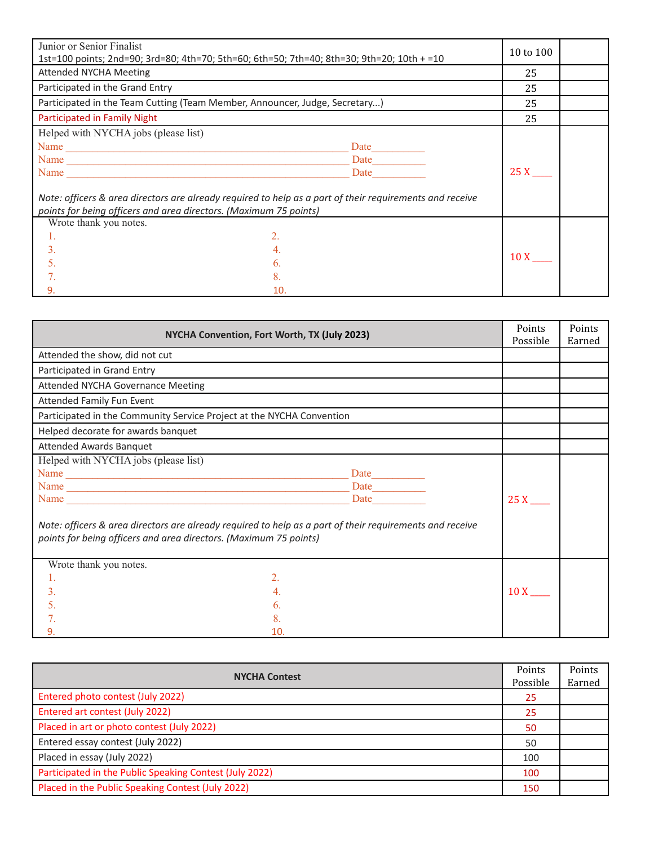| Junior or Senior Finalist<br>1st=100 points; 2nd=90; 3rd=80; 4th=70; 5th=60; 6th=50; 7th=40; 8th=30; 9th=20; 10th + =10 |                                                                                                          | 10 to 100  |  |
|-------------------------------------------------------------------------------------------------------------------------|----------------------------------------------------------------------------------------------------------|------------|--|
| <b>Attended NYCHA Meeting</b>                                                                                           |                                                                                                          | 25         |  |
| Participated in the Grand Entry                                                                                         |                                                                                                          | 25         |  |
| Participated in the Team Cutting (Team Member, Announcer, Judge, Secretary)                                             |                                                                                                          | 25         |  |
| Participated in Family Night                                                                                            |                                                                                                          | 25         |  |
| Helped with NYCHA jobs (please list)                                                                                    |                                                                                                          |            |  |
| Name                                                                                                                    | Date                                                                                                     |            |  |
|                                                                                                                         | Date                                                                                                     |            |  |
|                                                                                                                         | <b>Date</b>                                                                                              | 25 X       |  |
| points for being officers and area directors. (Maximum 75 points)                                                       | Note: officers & area directors are already required to help as a part of their requirements and receive |            |  |
| Wrote thank you notes.                                                                                                  |                                                                                                          |            |  |
| 1.                                                                                                                      | 2.                                                                                                       |            |  |
| 3.                                                                                                                      |                                                                                                          |            |  |
| 5.                                                                                                                      | 6.                                                                                                       | $10 X$ $-$ |  |
|                                                                                                                         | 8                                                                                                        |            |  |
| 9.                                                                                                                      | 10.                                                                                                      |            |  |

| NYCHA Convention, Fort Worth, TX (July 2023)                                                                                                                                  |             | Points      | Points |
|-------------------------------------------------------------------------------------------------------------------------------------------------------------------------------|-------------|-------------|--------|
|                                                                                                                                                                               |             | Possible    | Earned |
| Attended the show, did not cut                                                                                                                                                |             |             |        |
| Participated in Grand Entry                                                                                                                                                   |             |             |        |
| <b>Attended NYCHA Governance Meeting</b>                                                                                                                                      |             |             |        |
| Attended Family Fun Event                                                                                                                                                     |             |             |        |
| Participated in the Community Service Project at the NYCHA Convention                                                                                                         |             |             |        |
| Helped decorate for awards banquet                                                                                                                                            |             |             |        |
| <b>Attended Awards Banquet</b>                                                                                                                                                |             |             |        |
| Helped with NYCHA jobs (please list)                                                                                                                                          |             |             |        |
|                                                                                                                                                                               |             |             |        |
|                                                                                                                                                                               | Date        |             |        |
|                                                                                                                                                                               | <b>Date</b> | 25X         |        |
| Note: officers & area directors are already required to help as a part of their requirements and receive<br>points for being officers and area directors. (Maximum 75 points) |             |             |        |
| Wrote thank you notes.                                                                                                                                                        |             |             |        |
| 1.                                                                                                                                                                            | 2.          |             |        |
| 3.                                                                                                                                                                            | 4.          | $10$ X $\_$ |        |
| 5.                                                                                                                                                                            | 6.          |             |        |
|                                                                                                                                                                               | 8.          |             |        |
| 9.                                                                                                                                                                            | 10.         |             |        |

| <b>NYCHA Contest</b>                                    |     | Points<br>Earned |
|---------------------------------------------------------|-----|------------------|
| Entered photo contest (July 2022)                       | 25  |                  |
| Entered art contest (July 2022)                         | 25  |                  |
| Placed in art or photo contest (July 2022)              | 50  |                  |
| Entered essay contest (July 2022)                       | 50  |                  |
| Placed in essay (July 2022)                             | 100 |                  |
| Participated in the Public Speaking Contest (July 2022) |     |                  |
| Placed in the Public Speaking Contest (July 2022)       | 150 |                  |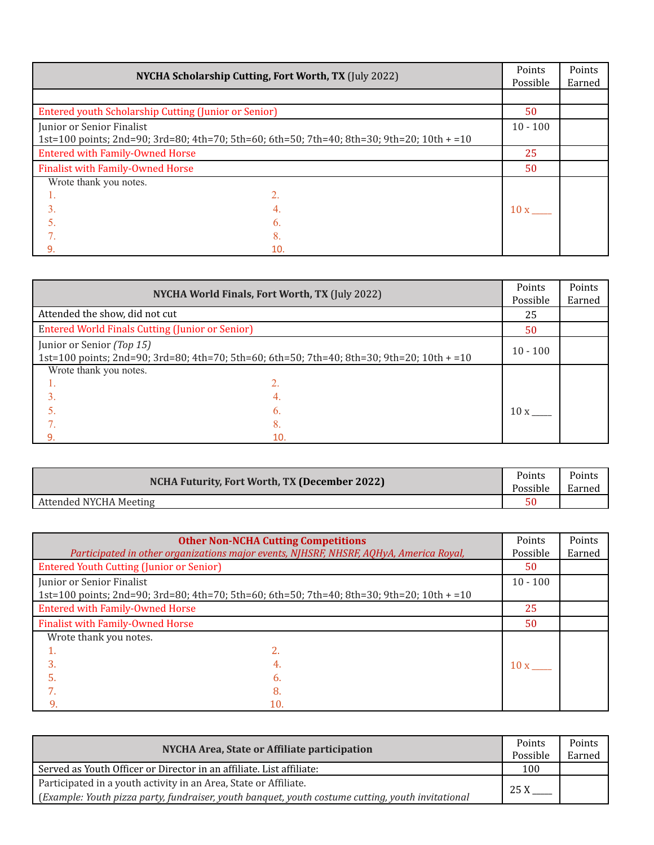| <b>NYCHA Scholarship Cutting, Fort Worth, TX (July 2022)</b> |                                                                                            | Points<br>Possible | Points<br>Earned |
|--------------------------------------------------------------|--------------------------------------------------------------------------------------------|--------------------|------------------|
|                                                              |                                                                                            |                    |                  |
| Entered youth Scholarship Cutting (Junior or Senior)         |                                                                                            | 50                 |                  |
| Junior or Senior Finalist                                    |                                                                                            | $10 - 100$         |                  |
|                                                              | 1st=100 points; 2nd=90; 3rd=80; 4th=70; 5th=60; 6th=50; 7th=40; 8th=30; 9th=20; 10th + =10 |                    |                  |
| <b>Entered with Family-Owned Horse</b>                       |                                                                                            | 25                 |                  |
| <b>Finalist with Family-Owned Horse</b>                      |                                                                                            | 50                 |                  |
| Wrote thank you notes.                                       |                                                                                            |                    |                  |
| 1.                                                           |                                                                                            |                    |                  |
|                                                              |                                                                                            | 10x                |                  |
|                                                              | 6.                                                                                         |                    |                  |
|                                                              | 8.                                                                                         |                    |                  |
| 9.                                                           | 10.                                                                                        |                    |                  |

| NYCHA World Finals, Fort Worth, TX (July 2022)         |                                                                                            | Points<br>Possible | Points<br>Earned |
|--------------------------------------------------------|--------------------------------------------------------------------------------------------|--------------------|------------------|
| Attended the show, did not cut                         |                                                                                            | 25                 |                  |
| <b>Entered World Finals Cutting (Junior or Senior)</b> |                                                                                            | 50                 |                  |
| Junior or Senior (Top 15)                              | 1st=100 points; 2nd=90; 3rd=80; 4th=70; 5th=60; 6th=50; 7th=40; 8th=30; 9th=20; 10th + =10 | $10 - 100$         |                  |
| Wrote thank you notes.                                 |                                                                                            |                    |                  |
|                                                        |                                                                                            |                    |                  |
|                                                        |                                                                                            |                    |                  |
|                                                        | b.                                                                                         | 10x                |                  |
|                                                        | 8.                                                                                         |                    |                  |
| 9.                                                     | 10.                                                                                        |                    |                  |

| NCHA Futurity, Fort Worth, TX (December 2022) |    | Points<br>Earned |
|-----------------------------------------------|----|------------------|
| Attended NYCHA Meeting                        | c٢ |                  |

|                                                 | <b>Other Non-NCHA Cutting Competitions</b><br>Participated in other organizations major events, NJHSRF, NHSRF, AQHyA, America Royal, | Points<br>Possible   | Points<br>Earned |
|-------------------------------------------------|--------------------------------------------------------------------------------------------------------------------------------------|----------------------|------------------|
| <b>Entered Youth Cutting (Junior or Senior)</b> |                                                                                                                                      | 50                   |                  |
| Junior or Senior Finalist                       |                                                                                                                                      | $10 - 100$           |                  |
|                                                 | 1st=100 points; 2nd=90; 3rd=80; 4th=70; 5th=60; 6th=50; 7th=40; 8th=30; 9th=20; 10th + =10                                           |                      |                  |
| <b>Entered with Family-Owned Horse</b>          |                                                                                                                                      | 25                   |                  |
| <b>Finalist with Family-Owned Horse</b>         |                                                                                                                                      | 50                   |                  |
| Wrote thank you notes.                          |                                                                                                                                      |                      |                  |
|                                                 |                                                                                                                                      |                      |                  |
| 3.                                              |                                                                                                                                      | $10x$ <sub>---</sub> |                  |
| 5.                                              | 6.                                                                                                                                   |                      |                  |
|                                                 | 8                                                                                                                                    |                      |                  |
| 9.                                              | 10.                                                                                                                                  |                      |                  |

| NYCHA Area, State or Affiliate participation                                                      |      | Points<br>Earned |
|---------------------------------------------------------------------------------------------------|------|------------------|
| Served as Youth Officer or Director in an affiliate. List affiliate:                              | 100  |                  |
| Participated in a youth activity in an Area, State or Affiliate.                                  | 25 X |                  |
| (Example: Youth pizza party, fundraiser, youth banquet, youth costume cutting, youth invitational |      |                  |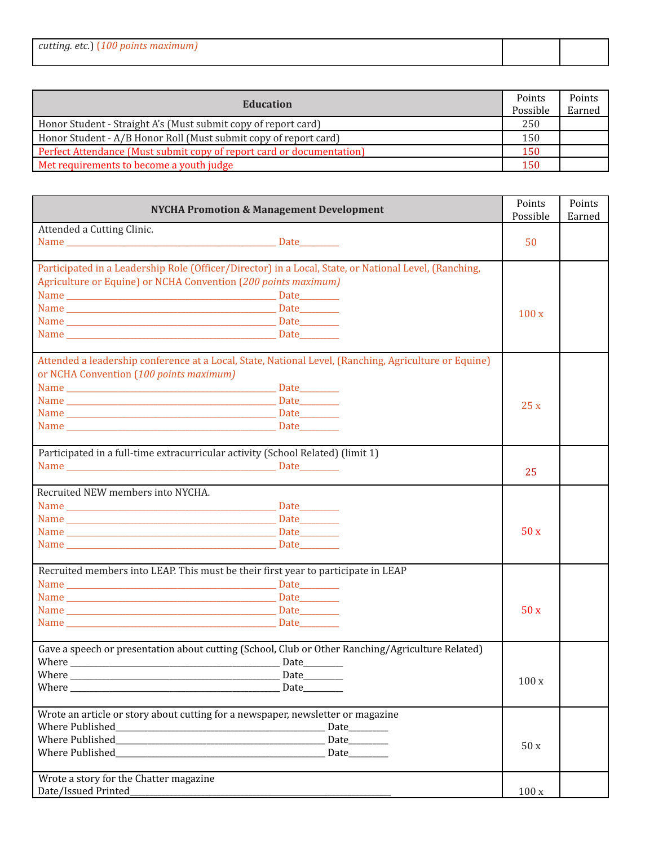| cutting. etc.)<br>  1 <i>00 nomts</i> |  |
|---------------------------------------|--|
|                                       |  |

| Education                                                             |     | Points |
|-----------------------------------------------------------------------|-----|--------|
|                                                                       |     | Earned |
| Honor Student - Straight A's (Must submit copy of report card)        | 250 |        |
| Honor Student - A/B Honor Roll (Must submit copy of report card)      | 150 |        |
| Perfect Attendance (Must submit copy of report card or documentation) | 150 |        |
| Met requirements to become a youth judge                              | 150 |        |

| <b>NYCHA Promotion &amp; Management Development</b>                                                   |              | Points<br>Possible | Points<br>Earned |
|-------------------------------------------------------------------------------------------------------|--------------|--------------------|------------------|
| Attended a Cutting Clinic.                                                                            |              |                    |                  |
|                                                                                                       |              | 50                 |                  |
|                                                                                                       |              |                    |                  |
| Participated in a Leadership Role (Officer/Director) in a Local, State, or National Level, (Ranching, |              |                    |                  |
| Agriculture or Equine) or NCHA Convention (200 points maximum)                                        |              |                    |                  |
|                                                                                                       |              |                    |                  |
|                                                                                                       |              | 100x               |                  |
|                                                                                                       |              |                    |                  |
|                                                                                                       |              |                    |                  |
| Attended a leadership conference at a Local, State, National Level, (Ranching, Agriculture or Equine) |              |                    |                  |
| or NCHA Convention (100 points maximum)                                                               |              |                    |                  |
|                                                                                                       |              |                    |                  |
|                                                                                                       |              | 25x                |                  |
|                                                                                                       |              |                    |                  |
|                                                                                                       |              |                    |                  |
| Participated in a full-time extracurricular activity (School Related) (limit 1)                       |              |                    |                  |
|                                                                                                       |              | 25                 |                  |
| Recruited NEW members into NYCHA.                                                                     |              |                    |                  |
|                                                                                                       |              |                    |                  |
|                                                                                                       |              |                    |                  |
|                                                                                                       |              | 50x                |                  |
|                                                                                                       |              |                    |                  |
|                                                                                                       |              |                    |                  |
| Recruited members into LEAP. This must be their first year to participate in LEAP                     |              |                    |                  |
|                                                                                                       |              |                    |                  |
|                                                                                                       |              |                    |                  |
|                                                                                                       |              | 50x                |                  |
|                                                                                                       |              |                    |                  |
| Gave a speech or presentation about cutting (School, Club or Other Ranching/Agriculture Related)      |              |                    |                  |
|                                                                                                       |              |                    |                  |
|                                                                                                       |              | 100x               |                  |
|                                                                                                       | Date________ |                    |                  |
| Wrote an article or story about cutting for a newspaper, newsletter or magazine                       |              |                    |                  |
|                                                                                                       | Date________ |                    |                  |
|                                                                                                       | Date________ | 50x                |                  |
|                                                                                                       | Date_______  |                    |                  |
| Wrote a story for the Chatter magazine                                                                |              |                    |                  |
| Date/Issued Printed                                                                                   |              | 100x               |                  |